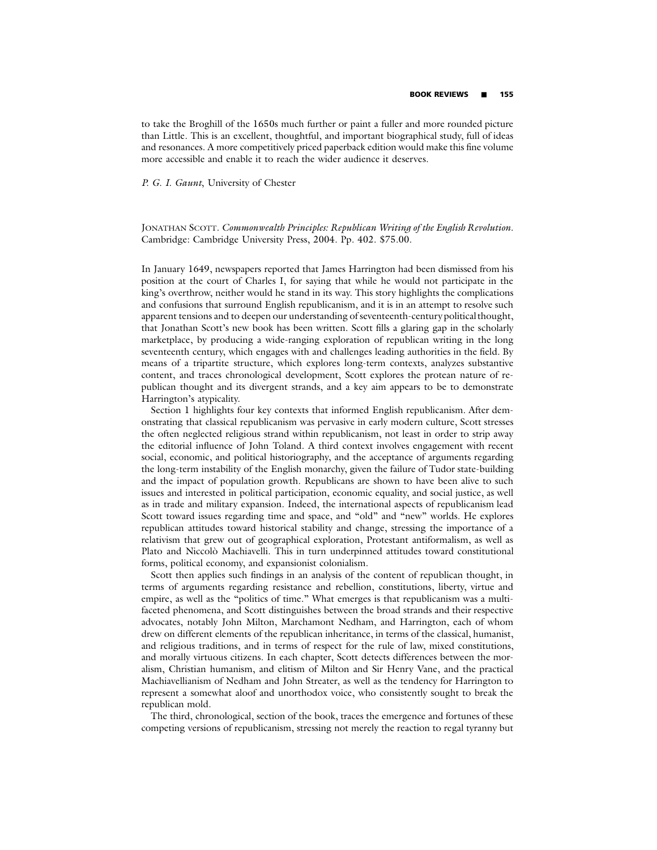to take the Broghill of the 1650s much further or paint a fuller and more rounded picture than Little. This is an excellent, thoughtful, and important biographical study, full of ideas and resonances. A more competitively priced paperback edition would make this fine volume more accessible and enable it to reach the wider audience it deserves.

*P. G. I. Gaunt*, University of Chester

JONATHAN SCOTT. *Commonwealth Principles: Republican Writing of the English Revolution*. Cambridge: Cambridge University Press, 2004. Pp. 402. \$75.00.

In January 1649, newspapers reported that James Harrington had been dismissed from his position at the court of Charles I, for saying that while he would not participate in the king's overthrow, neither would he stand in its way. This story highlights the complications and confusions that surround English republicanism, and it is in an attempt to resolve such apparent tensions and to deepen our understanding of seventeenth-century political thought, that Jonathan Scott's new book has been written. Scott fills a glaring gap in the scholarly marketplace, by producing a wide-ranging exploration of republican writing in the long seventeenth century, which engages with and challenges leading authorities in the field. By means of a tripartite structure, which explores long-term contexts, analyzes substantive content, and traces chronological development, Scott explores the protean nature of republican thought and its divergent strands, and a key aim appears to be to demonstrate Harrington's atypicality.

Section 1 highlights four key contexts that informed English republicanism. After demonstrating that classical republicanism was pervasive in early modern culture, Scott stresses the often neglected religious strand within republicanism, not least in order to strip away the editorial influence of John Toland. A third context involves engagement with recent social, economic, and political historiography, and the acceptance of arguments regarding the long-term instability of the English monarchy, given the failure of Tudor state-building and the impact of population growth. Republicans are shown to have been alive to such issues and interested in political participation, economic equality, and social justice, as well as in trade and military expansion. Indeed, the international aspects of republicanism lead Scott toward issues regarding time and space, and "old" and "new" worlds. He explores republican attitudes toward historical stability and change, stressing the importance of a relativism that grew out of geographical exploration, Protestant antiformalism, as well as Plato and Niccolò Machiavelli. This in turn underpinned attitudes toward constitutional forms, political economy, and expansionist colonialism.

Scott then applies such findings in an analysis of the content of republican thought, in terms of arguments regarding resistance and rebellion, constitutions, liberty, virtue and empire, as well as the "politics of time." What emerges is that republicanism was a multifaceted phenomena, and Scott distinguishes between the broad strands and their respective advocates, notably John Milton, Marchamont Nedham, and Harrington, each of whom drew on different elements of the republican inheritance, in terms of the classical, humanist, and religious traditions, and in terms of respect for the rule of law, mixed constitutions, and morally virtuous citizens. In each chapter, Scott detects differences between the moralism, Christian humanism, and elitism of Milton and Sir Henry Vane, and the practical Machiavellianism of Nedham and John Streater, as well as the tendency for Harrington to represent a somewhat aloof and unorthodox voice, who consistently sought to break the republican mold.

The third, chronological, section of the book, traces the emergence and fortunes of these competing versions of republicanism, stressing not merely the reaction to regal tyranny but